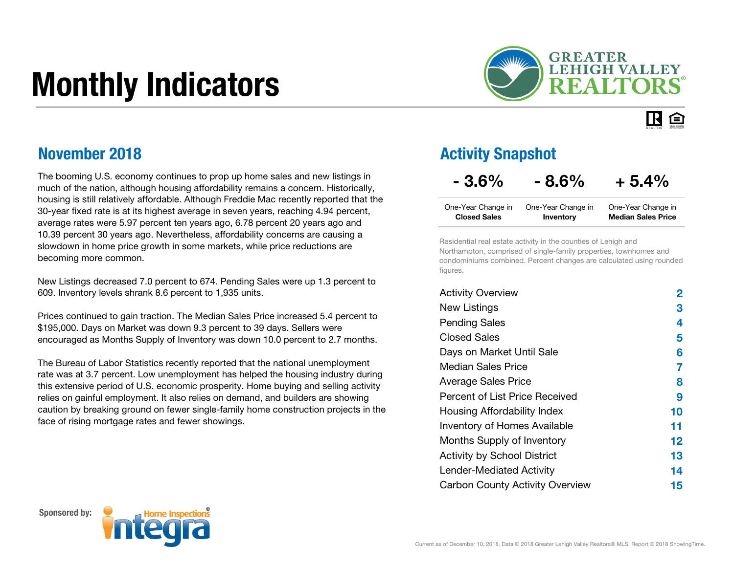# Monthly Indicators



旧白

### November 2018

The booming U.S. economy continues to prop up home sales and new listings in much of the nation, although housing affordability remains a concern. Historically, housing is still relatively affordable. Although Freddie Mac recently reported that the 30-year fixed rate is at its highest average in seven years, reaching 4.94 percent, average rates were 5.97 percent ten years ago, 6.78 percent 20 years ago and 10.39 percent 30 years ago. Nevertheless, affordability concerns are causing a slowdown in home price growth in some markets, while price reductions are becoming more common.

New Listings decreased 7.0 percent to 674. Pending Sales were up 1.3 percent to 609. Inventory levels shrank 8.6 percent to 1,935 units.

Prices continued to gain traction. The Median Sales Price increased 5.4 percent to \$195,000. Days on Market was down 9.3 percent to 39 days. Sellers were encouraged as Months Supply of Inventory was down 10.0 percent to 2.7 months.

The Bureau of Labor Statistics recently reported that the national unemployment rate was at 3.7 percent. Low unemployment has helped the housing industry during this extensive period of U.S. economic prosperity. Home buying and selling activity relies on gainful employment. It also relies on demand, and builders are showing caution by breaking ground on fewer single-family home construction projects in the face of rising mortgage rates and fewer showings.

### Activity Snapshot

### $-3.6\% - 8.6\% + 5.4\%$

| One-Year Change in  | One-Year Change in | One-Year Change in        |
|---------------------|--------------------|---------------------------|
| <b>Closed Sales</b> | Inventory          | <b>Median Sales Price</b> |

Residential real estate activity in the counties of Lehigh and Northampton, comprised of single-family properties, townhomes and condominiums combined. Percent changes are calculated using rounded figures.

| <b>Activity Overview</b>               | 2       |
|----------------------------------------|---------|
| New Listings                           | 3       |
| <b>Pending Sales</b>                   | 4       |
| <b>Closed Sales</b>                    | 5       |
| Days on Market Until Sale              | 6       |
| Median Sales Price                     | 7       |
| <b>Average Sales Price</b>             | 8       |
| Percent of List Price Received         | 9       |
| Housing Affordability Index            | 10      |
| <b>Inventory of Homes Available</b>    | 11      |
| Months Supply of Inventory             | $12 \,$ |
| <b>Activity by School District</b>     | 13      |
| Lender-Mediated Activity               | 14      |
| <b>Carbon County Activity Overview</b> | 15      |



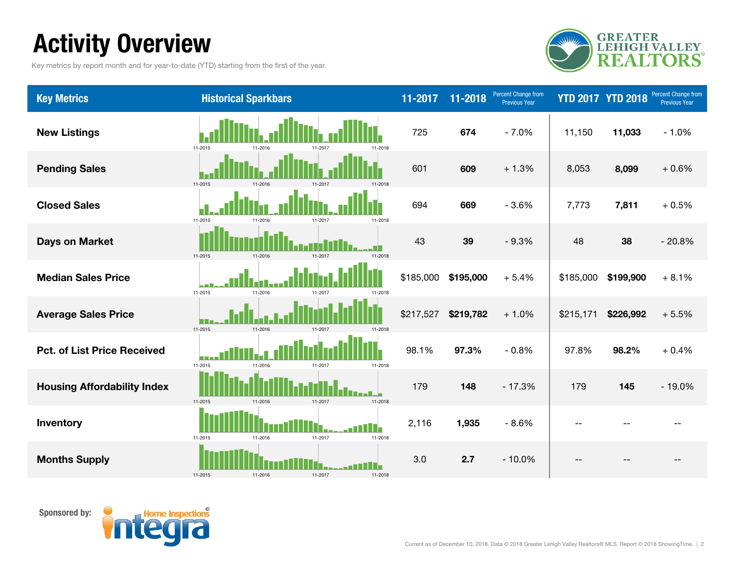# Activity Overview

Key metrics by report month and for year-to-date (YTD) starting from the first of the year.



| <b>Key Metrics</b>                 | <b>Historical Sparkbars</b>                    | 11-2017   | 11-2018   | <b>Percent Change from</b><br><b>Previous Year</b> |           | <b>YTD 2017 YTD 2018</b> | Percent Change from<br><b>Previous Year</b> |
|------------------------------------|------------------------------------------------|-----------|-----------|----------------------------------------------------|-----------|--------------------------|---------------------------------------------|
| <b>New Listings</b>                | 11-2015<br>11-2018<br>11-2016                  | 725       | 674       | $-7.0%$                                            | 11,150    | 11,033                   | $-1.0%$                                     |
| <b>Pending Sales</b>               | 11-2015<br>11-2016<br>11-2017<br>11-2018       | 601       | 609       | $+1.3%$                                            | 8,053     | 8,099                    | $+0.6%$                                     |
| <b>Closed Sales</b>                | 11-2015<br>11-2016<br>11-2017<br>11-2018       | 694       | 669       | $-3.6%$                                            | 7,773     | 7,811                    | $+0.5%$                                     |
| <b>Days on Market</b>              | 11-2015<br>11-2016<br>11-2017<br>11-2018       | 43        | 39        | $-9.3%$                                            | 48        | 38                       | $-20.8%$                                    |
| <b>Median Sales Price</b>          | 11-2015<br>11-2016<br>11-2017<br>11-2018       | \$185,000 | \$195,000 | $+5.4%$                                            | \$185,000 | \$199,900                | $+8.1%$                                     |
| <b>Average Sales Price</b>         | 11-2015<br>11-2016<br>11-2017<br>11-2018       | \$217,527 | \$219,782 | $+1.0%$                                            | \$215,171 | \$226,992                | $+5.5%$                                     |
| <b>Pct. of List Price Received</b> | 11-2015<br>11-2016<br>11-2018<br>11-2017       | 98.1%     | 97.3%     | $-0.8%$                                            | 97.8%     | 98.2%                    | $+0.4%$                                     |
| <b>Housing Affordability Index</b> | 11-2015<br>11-2016<br>11-2017<br>11-2018       | 179       | 148       | $-17.3%$                                           | 179       | 145                      | $-19.0%$                                    |
| Inventory                          | H-<br>11-2015<br>11-2016<br>11-2017<br>11-2018 | 2,116     | 1,935     | $-8.6%$                                            |           |                          |                                             |
| <b>Months Supply</b>               | 11-2015<br>11-2016<br>11-2017<br>11-2018       | 3.0       | 2.7       | $-10.0%$                                           |           |                          |                                             |

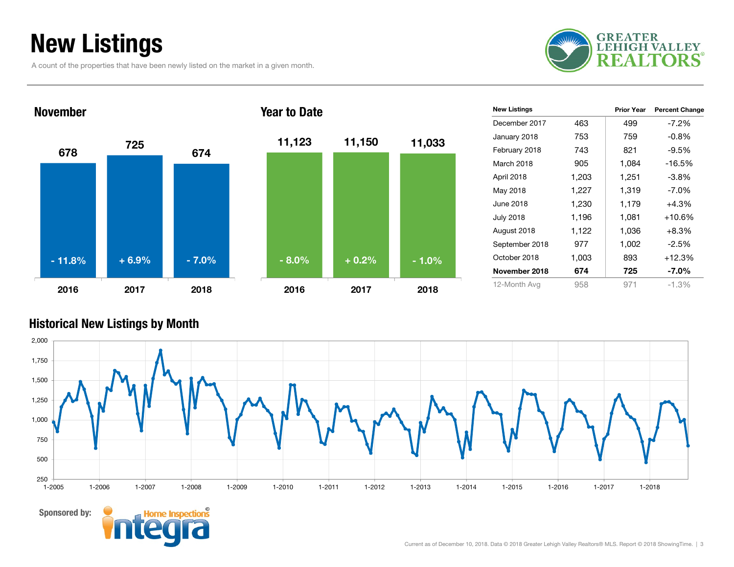# New Listings

A count of the properties that have been newly listed on the market in a given month.





| <b>New Listings</b> |       | <b>Prior Year</b> | <b>Percent Change</b> |
|---------------------|-------|-------------------|-----------------------|
| December 2017       | 463   | 499               | $-7.2\%$              |
| January 2018        | 753   | 759               | $-0.8\%$              |
| February 2018       | 743   | 821               | $-9.5\%$              |
| March 2018          | 905   | 1,084             | -16.5%                |
| April 2018          | 1,203 | 1,251             | $-3.8\%$              |
| May 2018            | 1,227 | 1,319             | $-7.0\%$              |
| June 2018           | 1,230 | 1,179             | $+4.3%$               |
| <b>July 2018</b>    | 1,196 | 1,081             | $+10.6%$              |
| August 2018         | 1,122 | 1,036             | +8.3%                 |
| September 2018      | 977   | 1,002             | $-2.5%$               |
| October 2018        | 1,003 | 893               | $+12.3%$              |
| November 2018       | 674   | 725               | $-7.0\%$              |
| 12-Month Avg        | 958   | 971               | $-1.3%$               |

#### Historical New Listings by Month



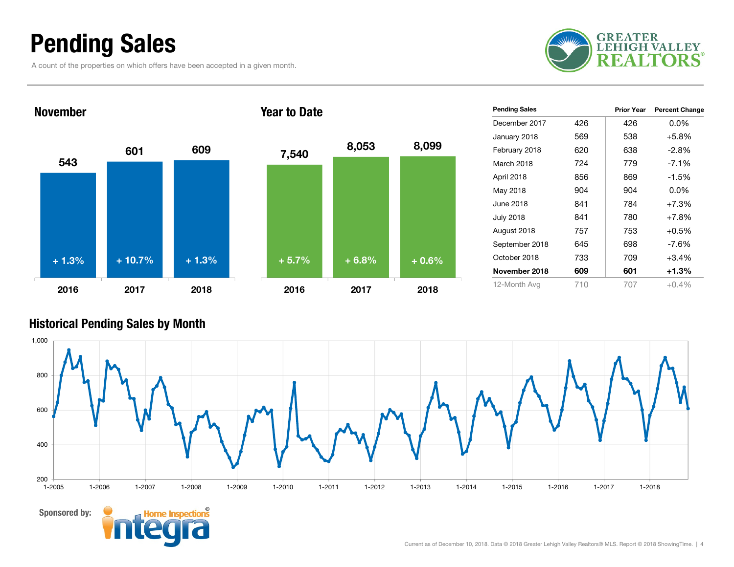### Pending Sales

A count of the properties on which offers have been accepted in a given month.





| 7,540   | 8,053   | 8,099   |
|---------|---------|---------|
|         |         |         |
| $+5.7%$ | $+6.8%$ | $+0.6%$ |
| 2016    | 2017    | 2018    |

| <b>Pending Sales</b> |     | <b>Prior Year</b> | <b>Percent Change</b> |
|----------------------|-----|-------------------|-----------------------|
| December 2017        | 426 | 426               | $0.0\%$               |
| January 2018         | 569 | 538               | $+5.8%$               |
| February 2018        | 620 | 638               | $-2.8\%$              |
| March 2018           | 724 | 779               | $-7.1%$               |
| April 2018           | 856 | 869               | $-1.5\%$              |
| May 2018             | 904 | 904               | $0.0\%$               |
| June 2018            | 841 | 784               | $+7.3%$               |
| <b>July 2018</b>     | 841 | 780               | $+7.8%$               |
| August 2018          | 757 | 753               | $+0.5%$               |
| September 2018       | 645 | 698               | $-7.6\%$              |
| October 2018         | 733 | 709               | $+3.4%$               |
| November 2018        | 609 | 601               | +1.3%                 |
| 12-Month Avg         | 710 | 707               | $+0.4%$               |

#### Historical Pending Sales by Month



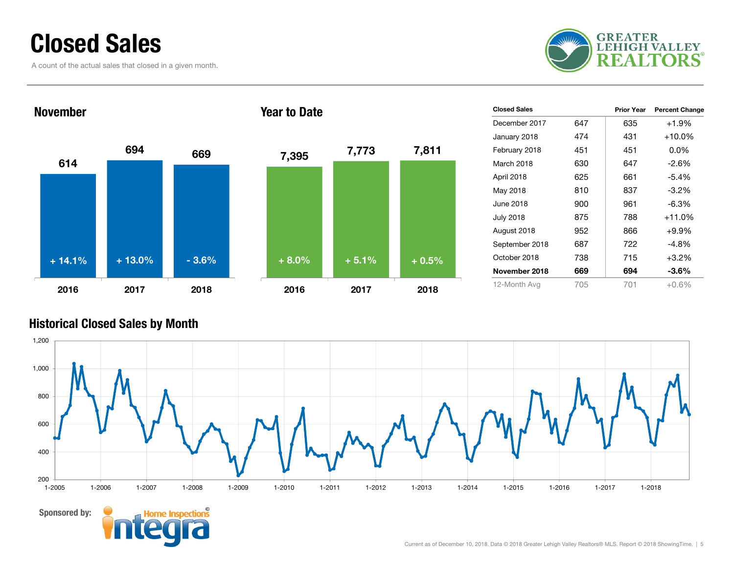### Closed Sales

A count of the actual sales that closed in a given month.





| <b>Closed Sales</b> |     | <b>Prior Year</b> | <b>Percent Change</b> |
|---------------------|-----|-------------------|-----------------------|
| December 2017       | 647 | 635               | $+1.9%$               |
| January 2018        | 474 | 431               | $+10.0\%$             |
| February 2018       | 451 | 451               | $0.0\%$               |
| March 2018          | 630 | 647               | $-2.6%$               |
| April 2018          | 625 | 661               | $-5.4\%$              |
| May 2018            | 810 | 837               | $-3.2%$               |
| June 2018           | 900 | 961               | $-6.3%$               |
| <b>July 2018</b>    | 875 | 788               | $+11.0%$              |
| August 2018         | 952 | 866               | $+9.9%$               |
| September 2018      | 687 | 722               | $-4.8%$               |
| October 2018        | 738 | 715               | $+3.2%$               |
| November 2018       | 669 | 694               | $-3.6%$               |
| 12-Month Avg        | 705 | 701               | $+0.6%$               |

#### Historical Closed Sales by Month

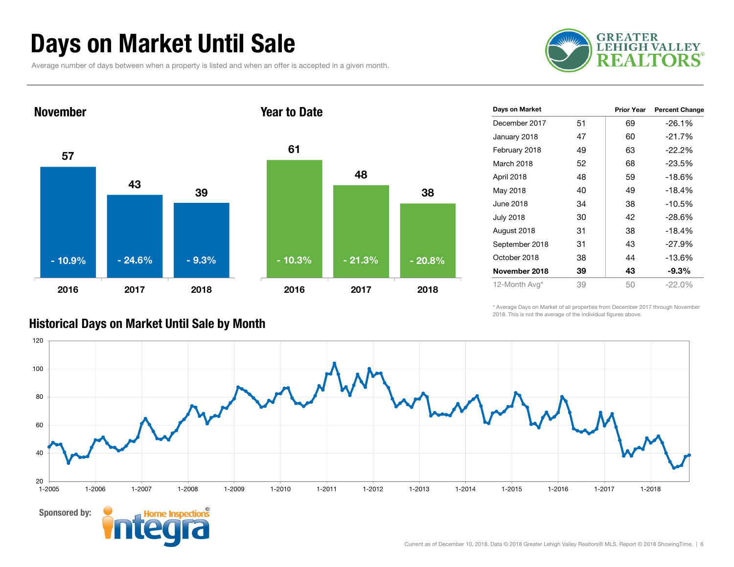### Days on Market Until Sale

Average number of days between when a property is listed and when an offer is accepted in a given month.





| Days on Market |    | <b>Prior Year</b> | <b>Percent Change</b> |
|----------------|----|-------------------|-----------------------|
| December 2017  | 51 | 69                | $-26.1%$              |
| January 2018   | 47 | 60                | $-21.7%$              |
| February 2018  | 49 | 63                | $-22.2%$              |
| March 2018     | 52 | 68                | $-23.5%$              |
| April 2018     | 48 | 59                | $-18.6%$              |
| May 2018       | 40 | 49                | $-18.4%$              |
| June 2018      | 34 | 38                | $-10.5%$              |
| July 2018      | 30 | 42                | $-28.6%$              |
| August 2018    | 31 | 38                | $-18.4%$              |
| September 2018 | 31 | 43                | $-27.9%$              |
| October 2018   | 38 | 44                | $-13.6%$              |
| November 2018  | 39 | 43                | -9.3%                 |
| 12-Month Avg*  | 39 | 50                | $-22.0%$              |
|                |    |                   |                       |

\* Average Days on Market of all properties from December 2017 through November 2018. This is not the average of the individual figures above.



#### Historical Days on Market Until Sale by Month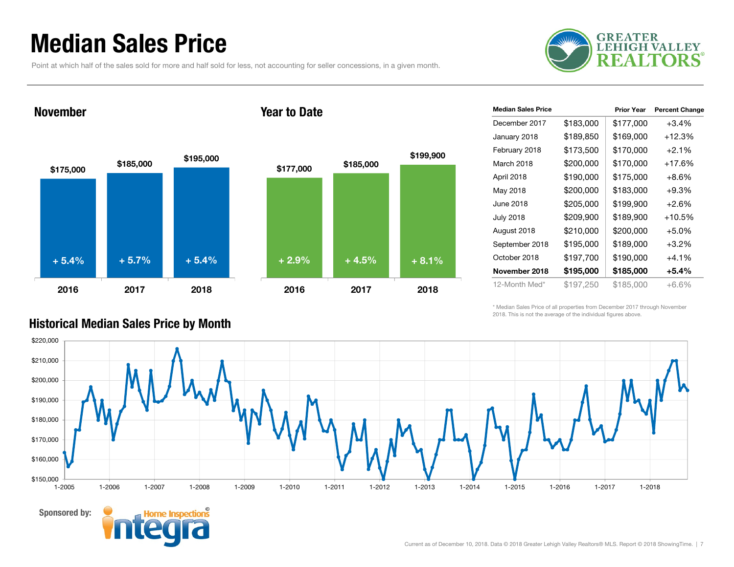### Median Sales Price

Point at which half of the sales sold for more and half sold for less, not accounting for seller concessions, in a given month.



#### November

Sponsored by:

#### Year to Date



| <b>Median Sales Price</b> |           | <b>Prior Year</b> | <b>Percent Change</b> |
|---------------------------|-----------|-------------------|-----------------------|
| December 2017             | \$183,000 | \$177,000         | $+3.4%$               |
| January 2018              | \$189,850 | \$169,000         | $+12.3%$              |
| February 2018             | \$173,500 | \$170,000         | $+2.1%$               |
| March 2018                | \$200,000 | \$170,000         | $+17.6%$              |
| April 2018                | \$190,000 | \$175,000         | $+8.6\%$              |
| May 2018                  | \$200,000 | \$183,000         | $+9.3%$               |
| June 2018                 | \$205,000 | \$199,900         | $+2.6%$               |
| <b>July 2018</b>          | \$209,900 | \$189,900         | $+10.5%$              |
| August 2018               | \$210,000 | \$200,000         | +5.0%                 |
| September 2018            | \$195,000 | \$189,000         | $+3.2\%$              |
| October 2018              | \$197,700 | \$190,000         | $+4.1%$               |
| November 2018             | \$195,000 | \$185,000         | +5.4%                 |
| 12-Month Med*             | \$197,250 | \$185,000         | +6.6%                 |

\* Median Sales Price of all properties from December 2017 through November 2018. This is not the average of the individual figures above.



#### Historical Median Sales Price by Month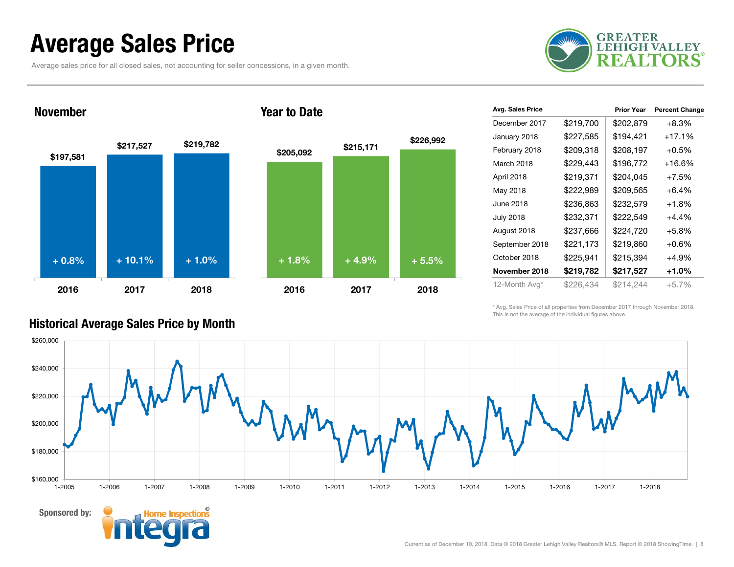### Average Sales Price

Average sales price for all closed sales, not accounting for seller concessions, in a given month.



#### November

Sponsored by:



#### Year to Date



| Avg. Sales Price |           | <b>Prior Year</b> | <b>Percent Change</b> |
|------------------|-----------|-------------------|-----------------------|
| December 2017    | \$219,700 | \$202,879         | $+8.3%$               |
| January 2018     | \$227,585 | \$194,421         | $+17.1%$              |
| February 2018    | \$209,318 | \$208,197         | $+0.5%$               |
| March 2018       | \$229,443 | \$196,772         | $+16.6%$              |
| April 2018       | \$219,371 | \$204,045         | $+7.5%$               |
| May 2018         | \$222,989 | \$209,565         | $+6.4%$               |
| June 2018        | \$236,863 | \$232,579         | $+1.8%$               |
| <b>July 2018</b> | \$232,371 | \$222,549         | +4.4%                 |
| August 2018      | \$237,666 | \$224,720         | $+5.8%$               |
| September 2018   | \$221,173 | \$219,860         | $+0.6\%$              |
| October 2018     | \$225,941 | \$215,394         | $+4.9%$               |
| November 2018    | \$219,782 | \$217,527         | +1.0%                 |
| 12-Month Avg*    | \$226,434 | \$214,244         | $+5.7%$               |

\* Avg. Sales Price of all properties from December 2017 through November 2018. This is not the average of the individual figures above.



#### Historical Average Sales Price by Month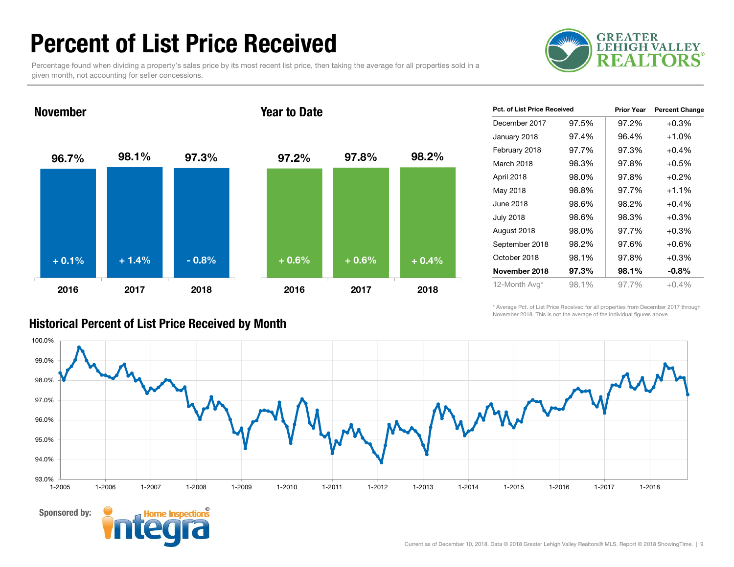### Percent of List Price Received

Percentage found when dividing a property's sales price by its most recent list price, then taking the average for all properties sold in a given month, not accounting for seller concessions.



November

#### Year to Date



| Pct. of List Price Received |       | <b>Prior Year</b> | <b>Percent Change</b> |
|-----------------------------|-------|-------------------|-----------------------|
| December 2017               | 97.5% | 97.2%             | $+0.3%$               |
| January 2018                | 97.4% | 96.4%             | $+1.0%$               |
| February 2018               | 97.7% | 97.3%             | $+0.4%$               |
| March 2018                  | 98.3% | 97.8%             | $+0.5%$               |
| April 2018                  | 98.0% | 97.8%             | $+0.2%$               |
| May 2018                    | 98.8% | 97.7%             | $+1.1%$               |
| June 2018                   | 98.6% | 98.2%             | $+0.4%$               |
| July 2018                   | 98.6% | 98.3%             | $+0.3%$               |
| August 2018                 | 98.0% | 97.7%             | $+0.3%$               |
| September 2018              | 98.2% | 97.6%             | $+0.6%$               |
| October 2018                | 98.1% | 97.8%             | $+0.3%$               |
| November 2018               | 97.3% | 98.1%             | $-0.8%$               |
| 12-Month Avg*               | 98.1% | 97.7%             | $+0.4%$               |

\* Average Pct. of List Price Received for all properties from December 2017 through November 2018. This is not the average of the individual figures above.



#### Sponsored by:

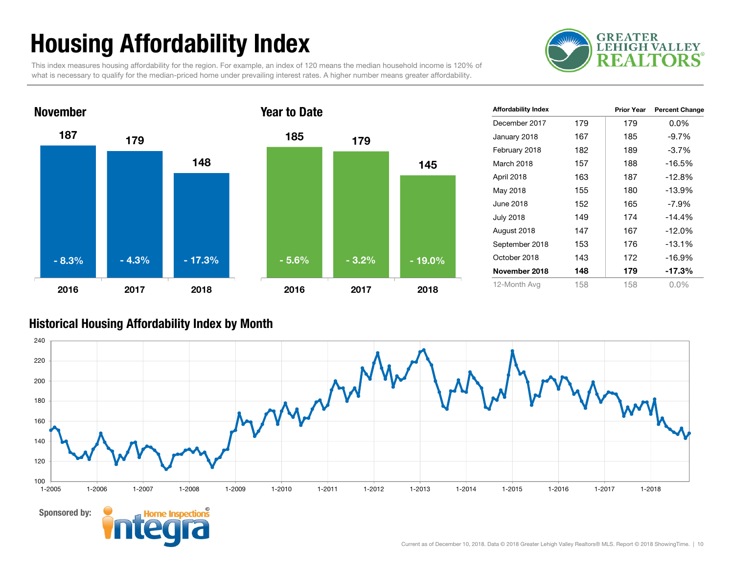# Housing Affordability Index

This index measures housing affordability for the region. For example, an index of 120 means the median household income is 120% of what is necessary to qualify for the median-priced home under prevailing interest rates. A higher number means greater affordability.





| <b>Affordability Index</b> |     | <b>Prior Year</b> | <b>Percent Change</b> |
|----------------------------|-----|-------------------|-----------------------|
| December 2017              | 179 | 179               | $0.0\%$               |
| January 2018               | 167 | 185               | $-9.7\%$              |
| February 2018              | 182 | 189               | $-3.7\%$              |
| March 2018                 | 157 | 188               | $-16.5%$              |
| April 2018                 | 163 | 187               | $-12.8\%$             |
| May 2018                   | 155 | 180               | $-13.9%$              |
| June 2018                  | 152 | 165               | $-7.9\%$              |
| <b>July 2018</b>           | 149 | 174               | $-14.4%$              |
| August 2018                | 147 | 167               | $-12.0%$              |
| September 2018             | 153 | 176               | $-13.1%$              |
| October 2018               | 143 | 172               | $-16.9%$              |
| November 2018              | 148 | 179               | -17.3%                |
| 12-Month Avg               | 158 | 158               | $0.0\%$               |

#### Historical Housing Affordability Index by Mont h

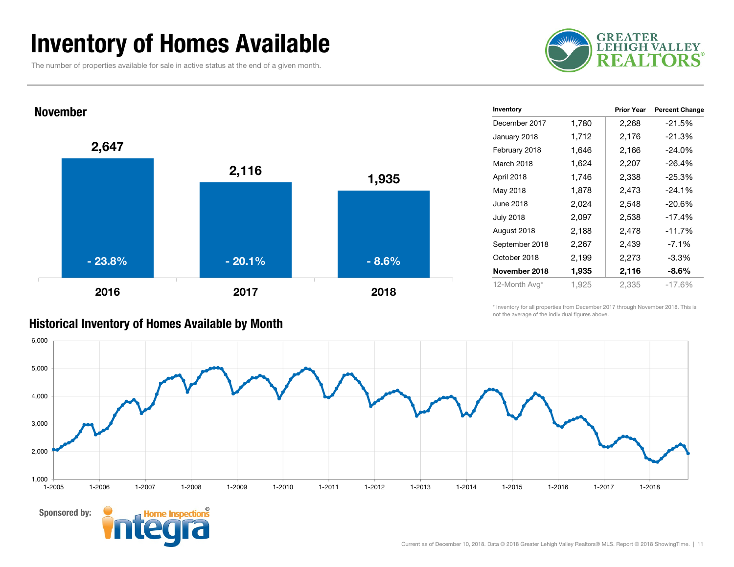### Inventory of Homes Available

The number of properties available for sale in active status at the end of a given month.





|       | <b>Prior Year</b> | <b>Percent Change</b> |
|-------|-------------------|-----------------------|
| 1,780 | 2,268             | $-21.5%$              |
| 1,712 | 2,176             | -21.3%                |
| 1,646 | 2,166             | $-24.0%$              |
| 1,624 | 2,207             | -26.4%                |
| 1,746 | 2,338             | -25.3%                |
| 1,878 | 2,473             | $-24.1%$              |
| 2,024 | 2,548             | -20.6%                |
| 2,097 | 2,538             | -17.4%                |
| 2,188 | 2,478             | -11.7%                |
| 2,267 | 2,439             | $-7.1%$               |
| 2,199 | 2,273             | $-3.3%$               |
| 1,935 | 2,116             | $-8.6\%$              |
| 1,925 | 2,335             | $-17.6%$              |
|       |                   |                       |

### Historical Inventory of Homes Available by Month

Sponsored by:

\* Inventory for all properties from December 2017 through November 2018. This is not the average of the individual figures above.

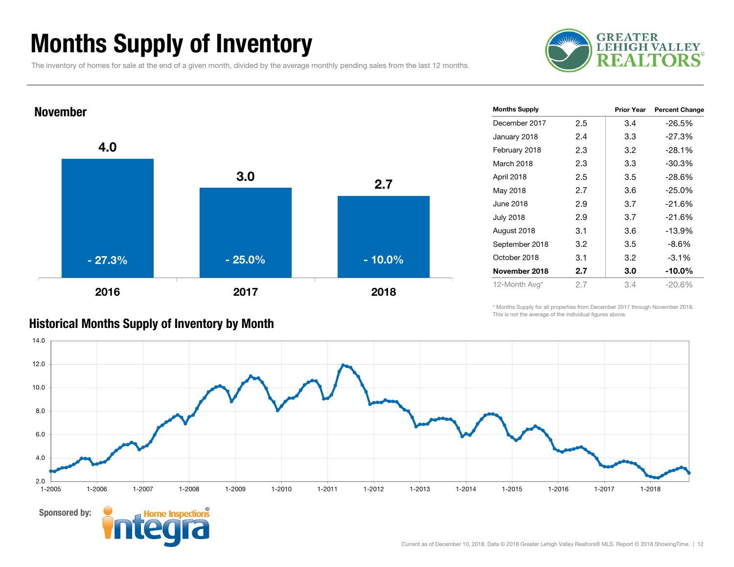### Months Supply of Inventory

The inventory of homes for sale at the end of a given month, divided by the average monthly pending sales from the last 12 months.





| <b>Months Supply</b> |     | Prior Year | <b>Percent Change</b> |
|----------------------|-----|------------|-----------------------|
| December 2017        | 2.5 | 3.4        | $-26.5%$              |
| January 2018         | 2.4 | 3.3        | $-27.3%$              |
| February 2018        | 2.3 | 3.2        | $-28.1%$              |
| March 2018           | 2.3 | 3.3        | -30.3%                |
| April 2018           | 2.5 | 3.5        | $-28.6%$              |
| May 2018             | 2.7 | 3.6        | $-25.0%$              |
| June 2018            | 2.9 | 3.7        | $-21.6%$              |
| July 2018            | 2.9 | 3.7        | $-21.6%$              |
| August 2018          | 3.1 | 3.6        | $-13.9%$              |
| September 2018       | 3.2 | 3.5        | $-8.6%$               |
| October 2018         | 3.1 | 3.2        | $-3.1%$               |
| November 2018        | 2.7 | 3.0        | $-10.0\%$             |
| 12-Month Avg*        | 2.7 | 3.4        | $-20.6%$              |

### Historical Months Supply of Inventory by Month

\* Months Supply for all properties from December 2017 through November 2018. This is not the average of the individual figures above.

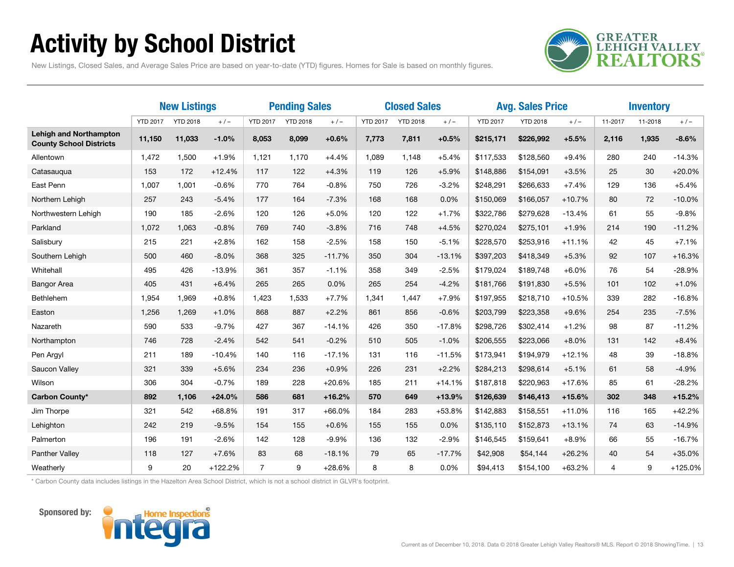# Activity by School District

**GREATER<br>LEHIGH VALLEY TORS** 9 F A I

New Listings, Closed Sales, and Average Sales Price are based on year-to-date (YTD) figures. Homes for Sale is based on monthly figures.

|                                                                 | <b>New Listings</b> |                 | <b>Pending Sales</b> |                 | <b>Closed Sales</b> |          |                 | <b>Avg. Sales Price</b> |          |                 | <b>Inventory</b> |          |                |         |           |
|-----------------------------------------------------------------|---------------------|-----------------|----------------------|-----------------|---------------------|----------|-----------------|-------------------------|----------|-----------------|------------------|----------|----------------|---------|-----------|
|                                                                 | <b>YTD 2017</b>     | <b>YTD 2018</b> | $+/-$                | <b>YTD 2017</b> | <b>YTD 2018</b>     | $+/-$    | <b>YTD 2017</b> | <b>YTD 2018</b>         | $+/-$    | <b>YTD 2017</b> | <b>YTD 2018</b>  | $+/-$    | 11-2017        | 11-2018 | $+/-$     |
| <b>Lehigh and Northampton</b><br><b>County School Districts</b> | 11,150              | 11,033          | $-1.0%$              | 8,053           | 8,099               | $+0.6%$  | 7,773           | 7,811                   | $+0.5%$  | \$215,171       | \$226,992        | $+5.5%$  | 2,116          | 1,935   | $-8.6%$   |
| Allentown                                                       | 1,472               | 1,500           | $+1.9%$              | 1,121           | 1,170               | $+4.4%$  | 1,089           | 1,148                   | $+5.4%$  | \$117,533       | \$128,560        | $+9.4%$  | 280            | 240     | $-14.3%$  |
| Catasaugua                                                      | 153                 | 172             | $+12.4%$             | 117             | 122                 | $+4.3%$  | 119             | 126                     | $+5.9%$  | \$148,886       | \$154,091        | $+3.5%$  | 25             | 30      | $+20.0%$  |
| East Penn                                                       | 1,007               | 1,001           | $-0.6%$              | 770             | 764                 | $-0.8%$  | 750             | 726                     | $-3.2%$  | \$248,291       | \$266,633        | $+7.4%$  | 129            | 136     | $+5.4%$   |
| Northern Lehigh                                                 | 257                 | 243             | $-5.4%$              | 177             | 164                 | $-7.3%$  | 168             | 168                     | 0.0%     | \$150,069       | \$166,057        | $+10.7%$ | 80             | 72      | $-10.0%$  |
| Northwestern Lehigh                                             | 190                 | 185             | $-2.6%$              | 120             | 126                 | $+5.0%$  | 120             | 122                     | $+1.7%$  | \$322,786       | \$279,628        | $-13.4%$ | 61             | 55      | $-9.8%$   |
| Parkland                                                        | 1,072               | 1,063           | $-0.8%$              | 769             | 740                 | $-3.8%$  | 716             | 748                     | $+4.5%$  | \$270,024       | \$275,101        | $+1.9%$  | 214            | 190     | $-11.2%$  |
| Salisbury                                                       | 215                 | 221             | $+2.8%$              | 162             | 158                 | $-2.5%$  | 158             | 150                     | $-5.1%$  | \$228,570       | \$253,916        | $+11.1%$ | 42             | 45      | $+7.1%$   |
| Southern Lehigh                                                 | 500                 | 460             | $-8.0%$              | 368             | 325                 | $-11.7%$ | 350             | 304                     | $-13.1%$ | \$397,203       | \$418,349        | $+5.3%$  | 92             | 107     | $+16.3%$  |
| Whitehall                                                       | 495                 | 426             | $-13.9%$             | 361             | 357                 | $-1.1%$  | 358             | 349                     | $-2.5%$  | \$179,024       | \$189,748        | $+6.0%$  | 76             | 54      | $-28.9%$  |
| <b>Bangor Area</b>                                              | 405                 | 431             | $+6.4%$              | 265             | 265                 | 0.0%     | 265             | 254                     | $-4.2%$  | \$181.766       | \$191,830        | $+5.5%$  | 101            | 102     | $+1.0%$   |
| Bethlehem                                                       | 1,954               | 1,969           | $+0.8%$              | 1,423           | 1,533               | $+7.7%$  | 1,341           | 1,447                   | $+7.9%$  | \$197,955       | \$218,710        | $+10.5%$ | 339            | 282     | $-16.8%$  |
| Easton                                                          | 1,256               | 1,269           | $+1.0%$              | 868             | 887                 | $+2.2%$  | 861             | 856                     | $-0.6%$  | \$203,799       | \$223,358        | $+9.6%$  | 254            | 235     | $-7.5%$   |
| Nazareth                                                        | 590                 | 533             | $-9.7%$              | 427             | 367                 | $-14.1%$ | 426             | 350                     | $-17.8%$ | \$298,726       | \$302,414        | $+1.2%$  | 98             | 87      | $-11.2%$  |
| Northampton                                                     | 746                 | 728             | $-2.4%$              | 542             | 541                 | $-0.2%$  | 510             | 505                     | $-1.0%$  | \$206,555       | \$223,066        | $+8.0%$  | 131            | 142     | $+8.4%$   |
| Pen Argyl                                                       | 211                 | 189             | $-10.4%$             | 140             | 116                 | $-17.1%$ | 131             | 116                     | $-11.5%$ | \$173,941       | \$194,979        | $+12.1%$ | 48             | 39      | $-18.8%$  |
| Saucon Valley                                                   | 321                 | 339             | $+5.6%$              | 234             | 236                 | $+0.9%$  | 226             | 231                     | $+2.2%$  | \$284,213       | \$298,614        | $+5.1%$  | 61             | 58      | $-4.9%$   |
| Wilson                                                          | 306                 | 304             | $-0.7%$              | 189             | 228                 | $+20.6%$ | 185             | 211                     | $+14.1%$ | \$187,818       | \$220,963        | $+17.6%$ | 85             | 61      | $-28.2%$  |
| Carbon County*                                                  | 892                 | 1,106           | $+24.0%$             | 586             | 681                 | $+16.2%$ | 570             | 649                     | $+13.9%$ | \$126,639       | \$146,413        | $+15.6%$ | 302            | 348     | $+15.2%$  |
| Jim Thorpe                                                      | 321                 | 542             | $+68.8%$             | 191             | 317                 | $+66.0%$ | 184             | 283                     | $+53.8%$ | \$142,883       | \$158,551        | $+11.0%$ | 116            | 165     | $+42.2%$  |
| Lehighton                                                       | 242                 | 219             | $-9.5%$              | 154             | 155                 | $+0.6%$  | 155             | 155                     | 0.0%     | \$135,110       | \$152,873        | $+13.1%$ | 74             | 63      | $-14.9%$  |
| Palmerton                                                       | 196                 | 191             | $-2.6%$              | 142             | 128                 | $-9.9%$  | 136             | 132                     | $-2.9%$  | \$146,545       | \$159,641        | $+8.9%$  | 66             | 55      | $-16.7%$  |
| Panther Valley                                                  | 118                 | 127             | $+7.6%$              | 83              | 68                  | $-18.1%$ | 79              | 65                      | $-17.7%$ | \$42,908        | \$54,144         | $+26.2%$ | 40             | 54      | $+35.0%$  |
| Weatherly                                                       | 9                   | 20              | $+122.2%$            | $\overline{7}$  | 9                   | $+28.6%$ | 8               | 8                       | 0.0%     | \$94,413        | \$154,100        | $+63.2%$ | $\overline{4}$ | 9       | $+125.0%$ |

\* Carbon County data includes listings in the Hazelton Area School District, which is not a school district in GLVR's footprint.



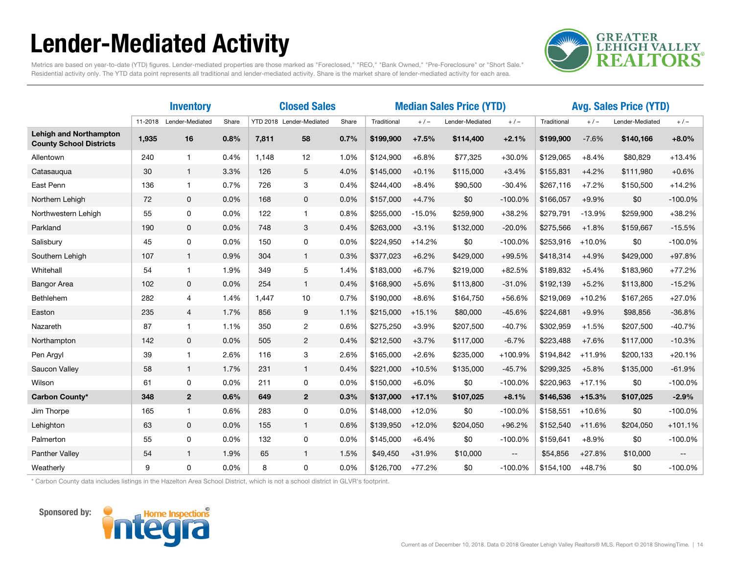# Lender-Mediated Activity



Metrics are based on year-to-date (YTD) figures. Lender-mediated properties are those marked as "Foreclosed," "REO," "Bank Owned," "Pre-Foreclosure" or "Short Sale." Residential activity only. The YTD data point represents all traditional and lender-mediated activity. Share is the market share of lender-mediated activity for each area.

|                                                                 | <b>Inventory</b> |                 |       | <b>Closed Sales</b> |                          |       | <b>Median Sales Price (YTD)</b> |           |                 |                          | <b>Avg. Sales Price (YTD)</b> |          |                 |                          |
|-----------------------------------------------------------------|------------------|-----------------|-------|---------------------|--------------------------|-------|---------------------------------|-----------|-----------------|--------------------------|-------------------------------|----------|-----------------|--------------------------|
|                                                                 | 11-2018          | Lender-Mediated | Share |                     | YTD 2018 Lender-Mediated | Share | Traditional                     | $+$ / $-$ | Lender-Mediated | $+/-$                    | Traditional                   | $+/-$    | Lender-Mediated | $+/-$                    |
| <b>Lehigh and Northampton</b><br><b>County School Districts</b> | 1,935            | 16              | 0.8%  | 7,811               | 58                       | 0.7%  | \$199,900                       | $+7.5%$   | \$114,400       | $+2.1%$                  | \$199,900                     | $-7.6%$  | \$140,166       | $+8.0%$                  |
| Allentown                                                       | 240              | $\mathbf{1}$    | 0.4%  | 1.148               | 12                       | 1.0%  | \$124,900                       | $+6.8%$   | \$77,325        | $+30.0%$                 | \$129,065                     | $+8.4%$  | \$80,829        | $+13.4%$                 |
| Catasaugua                                                      | 30               | $\mathbf{1}$    | 3.3%  | 126                 | 5                        | 4.0%  | \$145,000                       | $+0.1%$   | \$115,000       | $+3.4%$                  | \$155,831                     | $+4.2%$  | \$111,980       | $+0.6%$                  |
| East Penn                                                       | 136              | $\mathbf{1}$    | 0.7%  | 726                 | 3                        | 0.4%  | \$244,400                       | $+8.4%$   | \$90,500        | $-30.4%$                 | \$267,116                     | $+7.2%$  | \$150,500       | $+14.2%$                 |
| Northern Lehigh                                                 | 72               | 0               | 0.0%  | 168                 | 0                        | 0.0%  | \$157,000                       | $+4.7%$   | \$0             | $-100.0%$                | \$166,057                     | $+9.9%$  | \$0             | $-100.0%$                |
| Northwestern Lehigh                                             | 55               | 0               | 0.0%  | 122                 | 1                        | 0.8%  | \$255,000                       | $-15.0%$  | \$259,900       | $+38.2%$                 | \$279,791                     | $-13.9%$ | \$259,900       | $+38.2%$                 |
| Parkland                                                        | 190              | $\mathbf 0$     | 0.0%  | 748                 | 3                        | 0.4%  | \$263,000                       | $+3.1%$   | \$132,000       | $-20.0%$                 | \$275,566                     | $+1.8%$  | \$159,667       | $-15.5%$                 |
| Salisbury                                                       | 45               | 0               | 0.0%  | 150                 | 0                        | 0.0%  | \$224,950                       | $+14.2%$  | \$0             | $-100.0%$                | \$253,916                     | $+10.0%$ | \$0             | $-100.0%$                |
| Southern Lehigh                                                 | 107              | $\mathbf{1}$    | 0.9%  | 304                 | 1                        | 0.3%  | \$377,023                       | $+6.2%$   | \$429,000       | +99.5%                   | \$418,314                     | $+4.9%$  | \$429,000       | $+97.8%$                 |
| Whitehall                                                       | 54               | 1               | 1.9%  | 349                 | 5                        | 1.4%  | \$183,000                       | $+6.7%$   | \$219,000       | $+82.5%$                 | \$189,832                     | $+5.4%$  | \$183,960       | $+77.2%$                 |
| <b>Bangor Area</b>                                              | 102              | $\mathbf 0$     | 0.0%  | 254                 | $\mathbf{1}$             | 0.4%  | \$168,900                       | $+5.6%$   | \$113,800       | $-31.0%$                 | \$192,139                     | $+5.2%$  | \$113,800       | $-15.2%$                 |
| Bethlehem                                                       | 282              | $\overline{4}$  | 1.4%  | 1.447               | 10                       | 0.7%  | \$190,000                       | $+8.6%$   | \$164,750       | +56.6%                   | \$219,069                     | $+10.2%$ | \$167,265       | $+27.0%$                 |
| Easton                                                          | 235              | $\overline{4}$  | 1.7%  | 856                 | 9                        | 1.1%  | \$215,000                       | $+15.1%$  | \$80,000        | $-45.6%$                 | \$224,681                     | $+9.9%$  | \$98,856        | $-36.8%$                 |
| Nazareth                                                        | 87               | 1               | 1.1%  | 350                 | 2                        | 0.6%  | \$275,250                       | $+3.9%$   | \$207,500       | $-40.7%$                 | \$302,959                     | $+1.5%$  | \$207,500       | $-40.7%$                 |
| Northampton                                                     | 142              | 0               | 0.0%  | 505                 | $\overline{2}$           | 0.4%  | \$212,500                       | $+3.7%$   | \$117,000       | $-6.7%$                  | \$223,488                     | $+7.6%$  | \$117,000       | $-10.3%$                 |
| Pen Argyl                                                       | 39               | $\mathbf{1}$    | 2.6%  | 116                 | 3                        | 2.6%  | \$165,000                       | $+2.6%$   | \$235,000       | +100.9%                  | \$194,842                     | $+11.9%$ | \$200,133       | $+20.1%$                 |
| Saucon Valley                                                   | 58               | $\mathbf{1}$    | 1.7%  | 231                 | $\mathbf{1}$             | 0.4%  | \$221.000                       | $+10.5%$  | \$135,000       | $-45.7%$                 | \$299,325                     | $+5.8%$  | \$135,000       | $-61.9%$                 |
| Wilson                                                          | 61               | 0               | 0.0%  | 211                 | 0                        | 0.0%  | \$150,000                       | $+6.0%$   | \$0             | $-100.0%$                | \$220,963                     | $+17.1%$ | \$0             | $-100.0%$                |
| Carbon County*                                                  | 348              | $\overline{2}$  | 0.6%  | 649                 | $\overline{2}$           | 0.3%  | \$137,000                       | $+17.1%$  | \$107,025       | $+8.1%$                  | \$146,536                     | $+15.3%$ | \$107,025       | $-2.9%$                  |
| Jim Thorpe                                                      | 165              | $\mathbf 1$     | 0.6%  | 283                 | 0                        | 0.0%  | \$148,000                       | $+12.0%$  | \$0             | $-100.0%$                | \$158,551                     | $+10.6%$ | \$0             | $-100.0%$                |
| Lehighton                                                       | 63               | $\mathbf 0$     | 0.0%  | 155                 | $\mathbf{1}$             | 0.6%  | \$139,950                       | $+12.0%$  | \$204,050       | $+96.2%$                 | \$152,540                     | $+11.6%$ | \$204,050       | $+101.1%$                |
| Palmerton                                                       | 55               | 0               | 0.0%  | 132                 | 0                        | 0.0%  | \$145,000                       | $+6.4%$   | \$0             | $-100.0%$                | \$159,641                     | $+8.9%$  | \$0             | $-100.0%$                |
| Panther Valley                                                  | 54               | $\mathbf{1}$    | 1.9%  | 65                  | $\mathbf{1}$             | 1.5%  | \$49,450                        | $+31.9%$  | \$10,000        | $\overline{\phantom{a}}$ | \$54,856                      | $+27.8%$ | \$10,000        | $\overline{\phantom{a}}$ |
| Weatherly                                                       | 9                | 0               | 0.0%  | 8                   | 0                        | 0.0%  | \$126,700                       | $+77.2%$  | \$0             | $-100.0%$                | \$154,100                     | $+48.7%$ | \$0             | $-100.0%$                |

\* Carbon County data includes listings in the Hazelton Area School District, which is not a school district in GLVR's footprint.